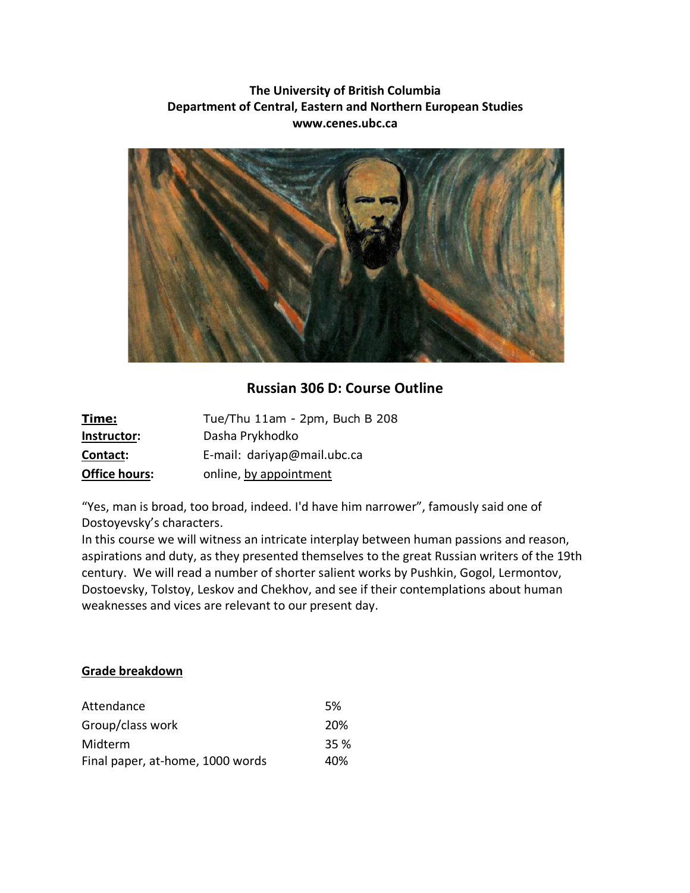# **The University of British Columbia Department of Central, Eastern and Northern European Studies www.cenes.ubc.ca**



# **Russian 306 D: Course Outline**

| <u>Time:</u>         | Tue/Thu 11am - 2pm, Buch B 208 |
|----------------------|--------------------------------|
| Instructor:          | Dasha Prykhodko                |
| Contact:             | E-mail: dariyap@mail.ubc.ca    |
| <b>Office hours:</b> | online, by appointment         |

"Yes, man is broad, too broad, indeed. I'd have him narrower", famously said one of Dostoyevsky's characters.

In this course we will witness an intricate interplay between human passions and reason, aspirations and duty, as they presented themselves to the great Russian writers of the 19th century. We will read a number of shorter salient works by Pushkin, Gogol, Lermontov, Dostoevsky, Tolstoy, Leskov and Chekhov, and see if their contemplations about human weaknesses and vices are relevant to our present day.

## **Grade breakdown**

| Attendance                       | 5%         |
|----------------------------------|------------|
| Group/class work                 | <b>20%</b> |
| Midterm                          | 35 %       |
| Final paper, at-home, 1000 words | 40%        |